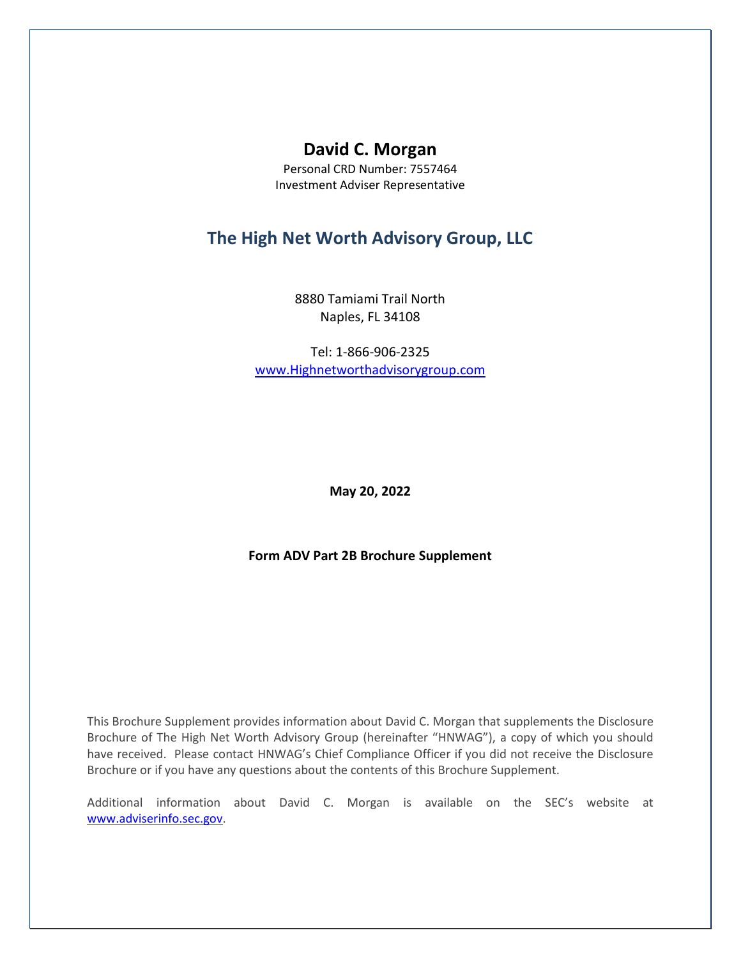# **David C. Morgan**

Personal CRD Number: 7557464 Investment Adviser Representative

## **The High Net Worth Advisory Group, LLC**

8880 Tamiami Trail North Naples, FL 34108

Tel: 1-866-906-2325 [www.Highnetworthadvisorygroup.com](http://www.highnetworthadvisorygroup.com/)

**May 20, 2022**

**Form ADV Part 2B Brochure Supplement**

This Brochure Supplement provides information about David C. Morgan that supplements the Disclosure Brochure of The High Net Worth Advisory Group (hereinafter "HNWAG"), a copy of which you should have received. Please contact HNWAG's Chief Compliance Officer if you did not receive the Disclosure Brochure or if you have any questions about the contents of this Brochure Supplement.

Additional information about David C. Morgan is available on the SEC's website at [www.adviserinfo.sec.gov.](http://www.adviserinfo.sec.gov/)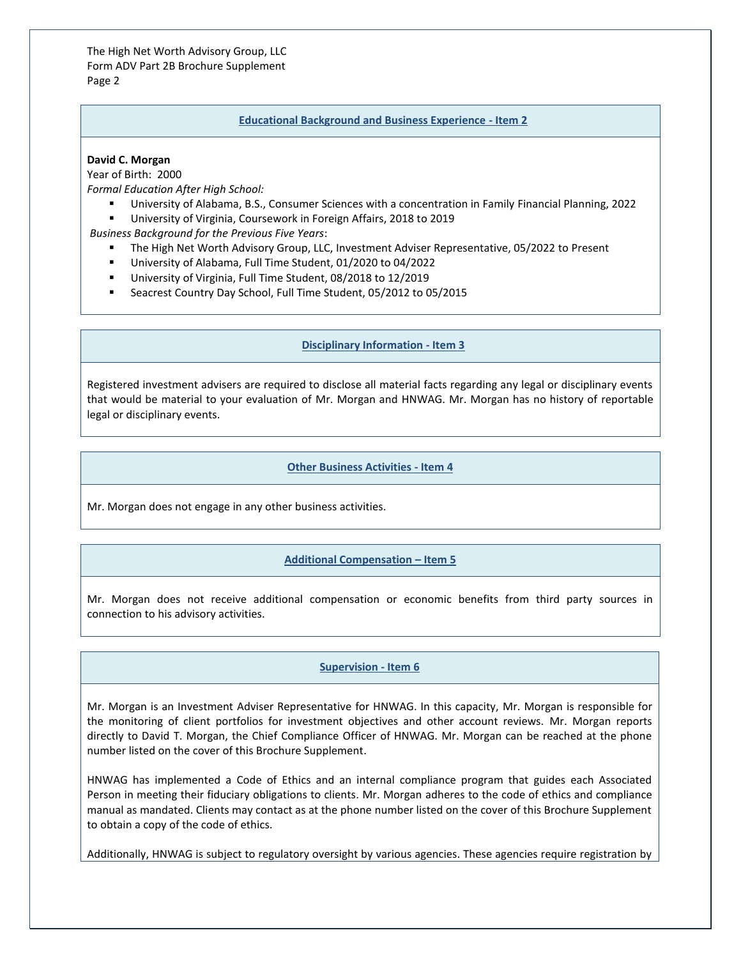The High Net Worth Advisory Group, LLC Form ADV Part 2B Brochure Supplement Page 2

#### **Educational Background and Business Experience - Item 2**

#### **David C. Morgan**

Year of Birth: 2000

*Formal Education After High School:*

- University of Alabama, B.S., Consumer Sciences with a concentration in Family Financial Planning, 2022
- University of Virginia, Coursework in Foreign Affairs, 2018 to 2019

*Business Background for the Previous Five Years*:

- The High Net Worth Advisory Group, LLC, Investment Adviser Representative, 05/2022 to Present
- University of Alabama, Full Time Student, 01/2020 to 04/2022
- University of Virginia, Full Time Student, 08/2018 to 12/2019
- Seacrest Country Day School, Full Time Student, 05/2012 to 05/2015

## **Disciplinary Information - Item 3**

Registered investment advisers are required to disclose all material facts regarding any legal or disciplinary events that would be material to your evaluation of Mr. Morgan and HNWAG. Mr. Morgan has no history of reportable legal or disciplinary events.

#### **Other Business Activities - Item 4**

Mr. Morgan does not engage in any other business activities.

## **Additional Compensation – Item 5**

Mr. Morgan does not receive additional compensation or economic benefits from third party sources in connection to his advisory activities.

## **Supervision - Item 6**

Mr. Morgan is an Investment Adviser Representative for HNWAG. In this capacity, Mr. Morgan is responsible for the monitoring of client portfolios for investment objectives and other account reviews. Mr. Morgan reports directly to David T. Morgan, the Chief Compliance Officer of HNWAG. Mr. Morgan can be reached at the phone number listed on the cover of this Brochure Supplement.

HNWAG has implemented a Code of Ethics and an internal compliance program that guides each Associated Person in meeting their fiduciary obligations to clients. Mr. Morgan adheres to the code of ethics and compliance manual as mandated. Clients may contact as at the phone number listed on the cover of this Brochure Supplement to obtain a copy of the code of ethics.

Additionally, HNWAG is subject to regulatory oversight by various agencies. These agencies require registration by